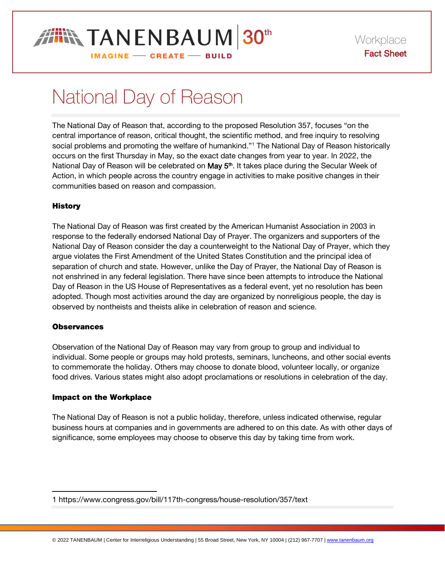# **THIN TANENBAUM 30th**

Workplace Fact Sheet

#### **IMAGINE - CREATE - BUILD**

## National Day of Reason

The National Day of Reason that, according to the proposed Resolution 357, focuses "on the central importance of reason, critical thought, the scientific method, and free inquiry to resolving social problems and promoting the welfare of humankind."<sup>1</sup> The National Day of Reason historically occurs on the first Thursday in May, so the exact date changes from year to year. In 2022, the National Day of Reason will be celebrated on **May 5<sup>th</sup>.** It takes place during the Secular Week of Action, in which people across the country engage in activities to make positive changes in their communities based on reason and compassion.

### **History**

The National Day of Reason was first created by the American Humanist Association in 2003 in response to the federally endorsed National Day of Prayer. The organizers and supporters of the National Day of Reason consider the day a counterweight to the National Day of Prayer, which they argue violates the First Amendment of the United States Constitution and the principal idea of separation of church and state. However, unlike the Day of Prayer, the National Day of Reason is not enshrined in any federal legislation. There have since been attempts to introduce the National Day of Reason in the US House of Representatives as a federal event, yet no resolution has been adopted. Though most activities around the day are organized by nonreligious people, the day is observed by nontheists and theists alike in celebration of reason and science.

#### **Observances**

 $\overline{a}$ 

Observation of the National Day of Reason may vary from group to group and individual to individual. Some people or groups may hold protests, seminars, luncheons, and other social events to commemorate the holiday. Others may choose to donate blood, volunteer locally, or organize food drives. Various states might also adopt proclamations or resolutions in celebration of the day.

#### Impact on the Workplace

The National Day of Reason is not a public holiday, therefore, unless indicated otherwise, regular business hours at companies and in governments are adhered to on this date. As with other days of significance, some employees may choose to observe this day by taking time from work.

<sup>1</sup> https://www.congress.gov/bill/117th-congress/house-resolution/357/text